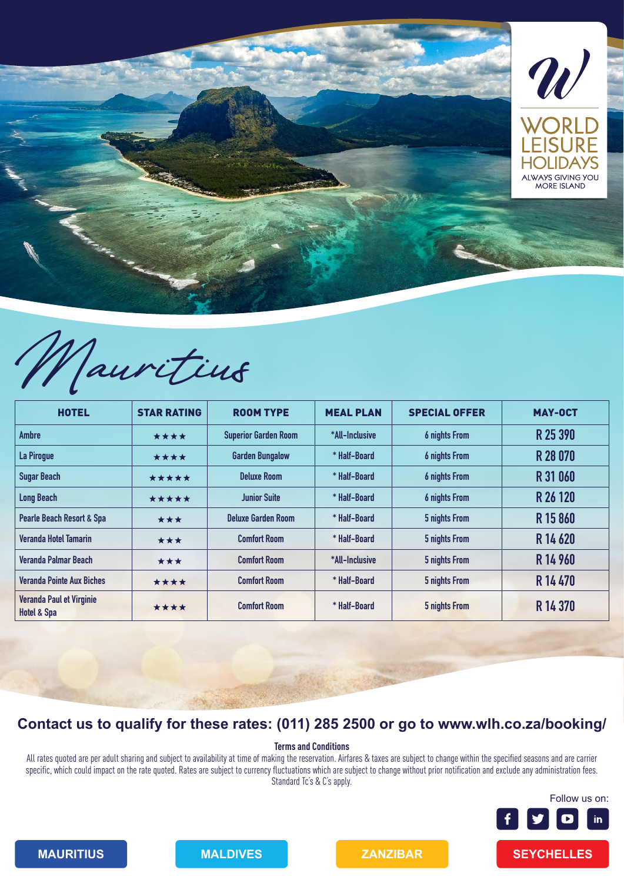

Mauritius

| <b>HOTEL</b>                                       | <b>STAR RATING</b> | <b>ROOM TYPE</b>            | <b>MEAL PLAN</b> | <b>SPECIAL OFFER</b> | <b>MAY-OCT</b> |
|----------------------------------------------------|--------------------|-----------------------------|------------------|----------------------|----------------|
| <b>Ambre</b>                                       | ****               | <b>Superior Garden Room</b> | *All-Inclusive   | <b>6 nights From</b> | R 25 390       |
| La Pirogue                                         | ****               | <b>Garden Bungalow</b>      | * Half-Board     | <b>6 nights From</b> | R 28 070       |
| <b>Sugar Beach</b>                                 | *****              | <b>Deluxe Room</b>          | * Half-Board     | <b>6 nights From</b> | R 31 060       |
| <b>Long Beach</b>                                  | *****              | <b>Junior Suite</b>         | * Half-Board     | <b>6 nights From</b> | R 26 120       |
| <b>Pearle Beach Resort &amp; Spa</b>               | ***                | <b>Deluxe Garden Room</b>   | * Half-Board     | 5 nights From        | R 15 860       |
| <b>Veranda Hotel Tamarin</b>                       | ***                | <b>Comfort Room</b>         | * Half-Board     | 5 nights From        | R 14 620       |
| Veranda Palmar Beach                               | ***                | <b>Comfort Room</b>         | *All-Inclusive   | 5 nights From        | R 14 960       |
| <b>Veranda Pointe Aux Biches</b>                   | ****               | <b>Comfort Room</b>         | * Half-Board     | 5 nights From        | R 14470        |
| Veranda Paul et Virginie<br><b>Hotel &amp; Spa</b> | ****               | <b>Comfort Room</b>         | * Half-Board     | 5 nights From        | R 14 370       |

## **Contact us to qualify for these rates: (011) 285 2500 or go to www.wlh.co.za/booking/**

**Terms and Conditions**

All rates quoted are per adult sharing and subject to availability at time of making the reservation. Airfares & taxes are subject to change within the specified seasons and are carrier specific, which could impact on the rate quoted. Rates are subject to currency fluctuations which are subject to change without prior notification and exclude any administration fees. Standard Tc's & C's apply.